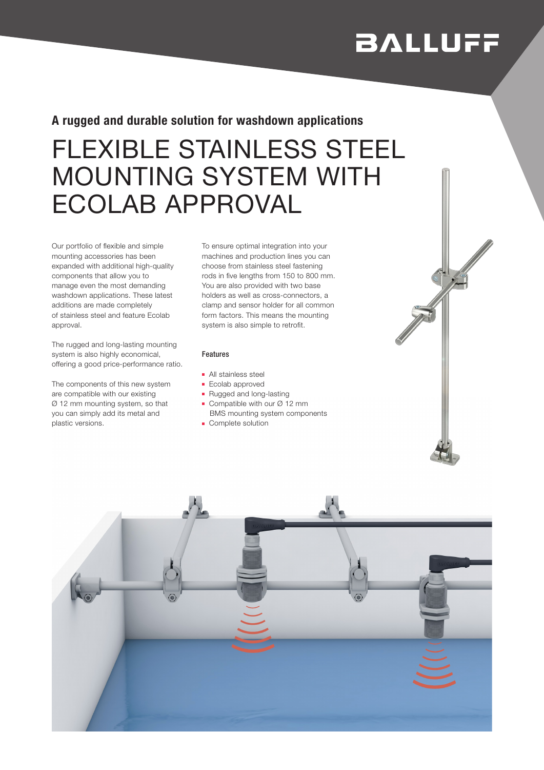# **BALLUFF**

### A rugged and durable solution for washdown applications

## FLEXIBLE STAINLESS STEEL MOUNTING SYSTEM WITH ECOLAB APPROVAL

Our portfolio of flexible and simple mounting accessories has been expanded with additional high-quality components that allow you to manage even the most demanding washdown applications. These latest additions are made completely of stainless steel and feature Ecolab approval.

The rugged and long-lasting mounting system is also highly economical, offering a good price-performance ratio.

The components of this new system are compatible with our existing Ø 12 mm mounting system, so that you can simply add its metal and plastic versions.

To ensure optimal integration into your machines and production lines you can choose from stainless steel fastening rods in five lengths from 150 to 800 mm. You are also provided with two base holders as well as cross-connectors, a clamp and sensor holder for all common form factors. This means the mounting system is also simple to retrofit.

#### Features

- All stainless steel
- Ecolab approved
- Rugged and long-lasting
- Compatible with our Ø 12 mm BMS mounting system components
- Complete solution